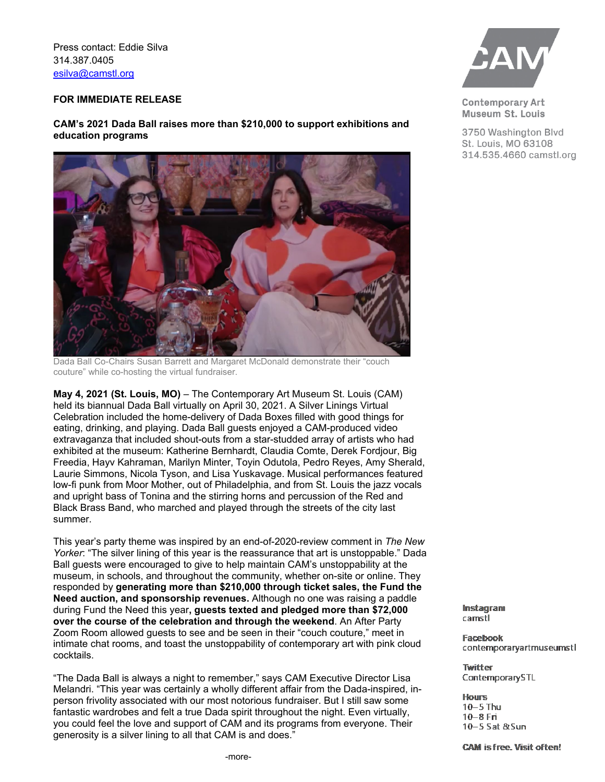Press contact: .DROWHZDW NWWHZDW#FDPVWORJI

## **FOR IMMEDIATE RELEASE**

## $\mathsf{CAM's}\ 202\mathsf{IDOD}$  $\mathsf{I\!I\!I\!I\!I\!I\!I}$  **RRIDED**. **REGORAL REGORATION than \$,000 to support exhibitions and education programs**



Dada Ball KRRI HHVWNWNWWWWWN

\$SULO**, 202(St. Louis, MO)²**The Contemporary Art Museum St. Louis (CAM) held its VSLUDOD DWWKHRRDR on April , 202. 7KHILLWWODODWREHKHOO LQURVALEHWKHMEHOHEDWLRZDVDOODERWJHWWLJEDENLWRWKHO VZLPRIWKLJVDZDVDVRORWHYHW7KHPHDRDM3DOPSLJVSRROJ SDWLChairs ia in and ichael ier er hosted an e enin of o ful support for  $C$  and shared the reat love respect and admiration for gala onorees any an en ran erg.

DIVE IN guests were encouraged to give to help maintain CAM's dynamic range of exhibitions, public programs, educational activities, and community initiatives—art for all and all for free! They responded by **generating more than \$0,000 through**  ticket sales, the Fund the Need auction, and sponsorship revenues. ZKHIIII WKH1HHZDVWK**IRR**VWVEEHVVIOL0MKLVWR,Traising r ,

"ThLM DODZDVLHHIA night to remember," says CAM Executiv e Director Lisa Melandri. "WZDVaWHOOWGULOO ACCOMPTED AT A CHANGE AFTICALLY A CHANGE AND A CHANGE AND A CHANGE AND A CHANGE AND A CHANGE AND A CHANGE AND A CHANGE AND A CHANGE AND A CHANGE AND A CHANGE AND A CHANGE AND A CHANGE AND A CHANG ita di Luftura la mando di Langverka Luftura di Spirit di Spirit di Spirit di Septembre 2014 a la posta di Sep and support, and it was our reat deliht and pri ile e to eale to honor the wonderful enerous o ful and ust plain fun anc and en ran er al a out ING IN! Not ust CAM, but the whole t. ouis arts and culture landscape would not be what it is today without those two sunny spirits! ou could feel the love  $L\mathbb{W}\times H\Box$ **BRPIRPEHJLLJWRHD** 

DIVE IN took its inspiration from the poolside photography of artist Martine Gutierrez, whose exhibition HIT MOVIE: Vol. 1 is on view at the museum March 25 through July 24, 2022. The Coronado was transformed into a Palm Springs poolside getaway and guests came in an amazing array of mod fashion—from slip dresses to caftans, go go boots and bell bottoms, to flip flops and enormous sunglasses. ttendees were treated to Dierberg Vineyards wines and an after-party that featured the swinging sounds of DJ Dave Kirkland.



**Contemporary Art** Museum St. Louis

3750 Washington Blvd St. Louis, MO 63108 314.535.4660 camstl.org

Instagram  $c$ amstl

Facebook contemporaryartmuseumstl

**Twitter** ContemporarySTL

**Hours**  $10-5$  Thu  $10-8$  Fri 10-5 Sat & Sun

**CAM is free. Visit often!**